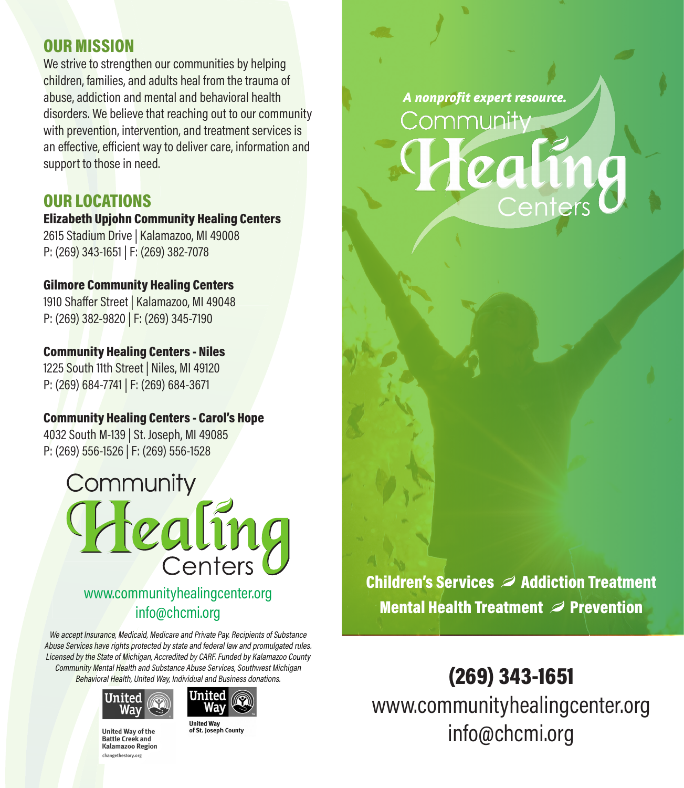### OUR MISSION

We strive to strengthen our communities by helping children, families, and adults heal from the trauma of abuse, addiction and mental and behavioral health disorders. We believe that reaching out to our community with prevention, intervention, and treatment services is an effective, efficient way to deliver care, information and support to those in need.

## OUR LOCATIONS

#### Elizabeth Upjohn Community Healing Centers

2615 Stadium Drive | Kalamazoo, MI 49008 P: (269) 343-1651 | F: (269) 382-7078

#### Gilmore Community Healing Centers

1910 Shaffer Street | Kalamazoo, MI 49048 P: (269) 382-9820 | F: (269) 345-7190

#### Community Healing Centers - Niles

1225 South 11th Street | Niles, MI 49120 P: (269) 684-7741 | F: (269) 684-3671

## Community Healing Centers - Carol's Hope

4032 South M-139 | St. Joseph, MI 49085 P: (269) 556-1526 | F: (269) 556-1528

# Community lealing Centers

www.communityhealingcenter.org info@chcmi.org

We accept Insurance, Medicaid, Medicare and Private Pay. Recipients of Substance Abuse Services have rights protected by state and federal law and promulgated rules. Licensed by the State of Michigan, Accredited by CARF. Funded by Kalamazoo County Community Mental Health and Substance Abuse Services, Southwest Michigan Behavioral Health, United Way, Individual and Business donations.





**United Way of the Battle Creek and Kalamazoo Region** changethestory.org

**United Way<br>of St. Joseph County** 

*A nonprofit expert resource.* Community Centers

Mental Health Treatment  $\mathcal D$  Prevention Children's Services  $\mathcal D$  Addiction Treatment

(269) 343-1651 www.communityhealingcenter.org info@chcmi.org